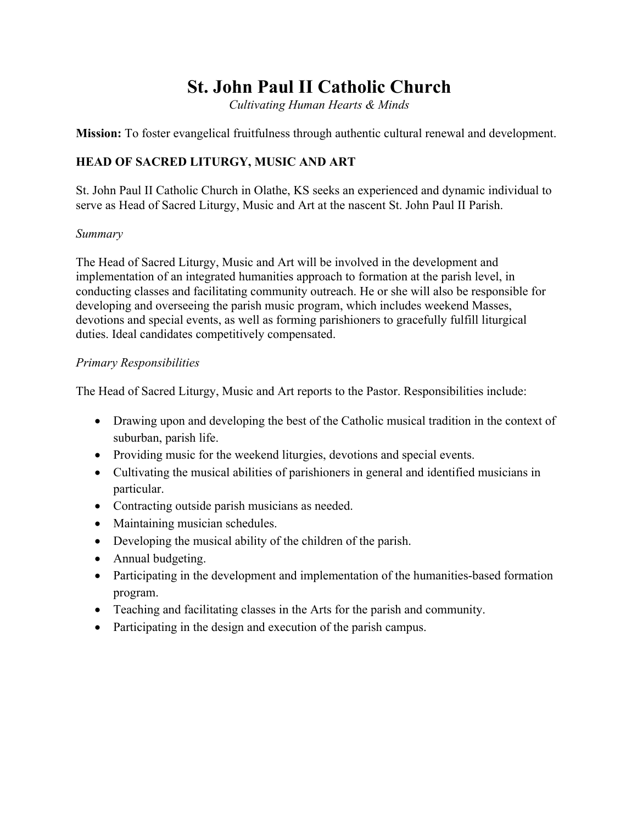# **St. John Paul II Catholic Church**

*Cultivating Human Hearts & Minds*

**Mission:** To foster evangelical fruitfulness through authentic cultural renewal and development.

# **HEAD OF SACRED LITURGY, MUSIC AND ART**

St. John Paul II Catholic Church in Olathe, KS seeks an experienced and dynamic individual to serve as Head of Sacred Liturgy, Music and Art at the nascent St. John Paul II Parish.

#### *Summary*

The Head of Sacred Liturgy, Music and Art will be involved in the development and implementation of an integrated humanities approach to formation at the parish level, in conducting classes and facilitating community outreach. He or she will also be responsible for developing and overseeing the parish music program, which includes weekend Masses, devotions and special events, as well as forming parishioners to gracefully fulfill liturgical duties. Ideal candidates competitively compensated.

#### *Primary Responsibilities*

The Head of Sacred Liturgy, Music and Art reports to the Pastor. Responsibilities include:

- Drawing upon and developing the best of the Catholic musical tradition in the context of suburban, parish life.
- Providing music for the weekend liturgies, devotions and special events.
- Cultivating the musical abilities of parishioners in general and identified musicians in particular.
- Contracting outside parish musicians as needed.
- Maintaining musician schedules.
- Developing the musical ability of the children of the parish.
- Annual budgeting.
- Participating in the development and implementation of the humanities-based formation program.
- Teaching and facilitating classes in the Arts for the parish and community.
- Participating in the design and execution of the parish campus.